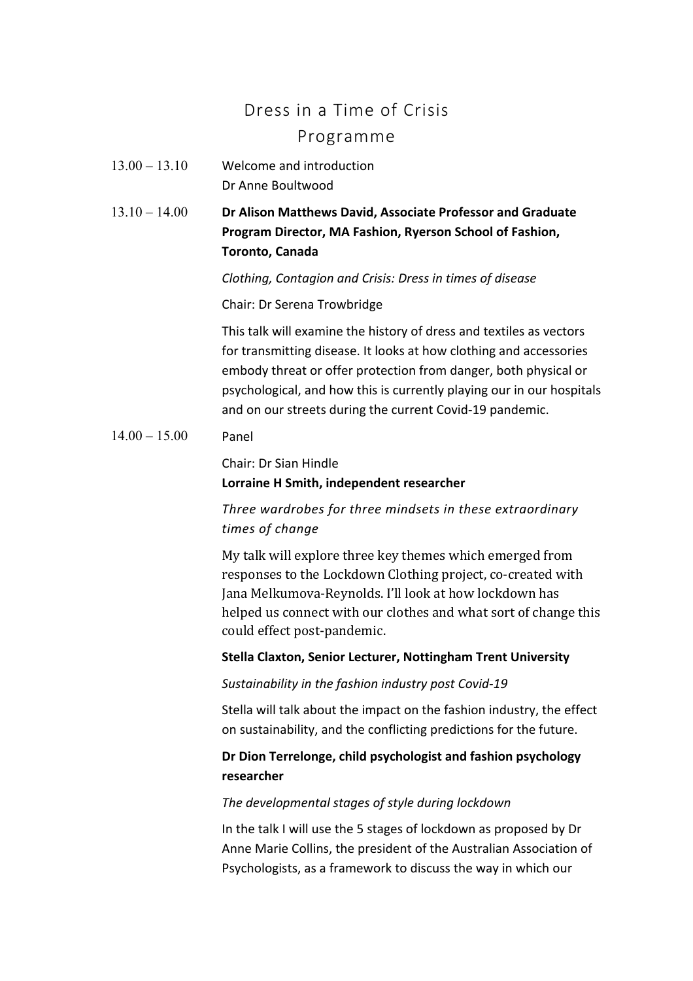# Dress in a Time of Crisis Programme

- 13.00 13.10 Welcome and introduction Dr Anne Boultwood
- 13.10 14.00 **Dr Alison Matthews David, Associate Professor and Graduate Program Director, MA Fashion, Ryerson School of Fashion, Toronto, Canada**

*Clothing, Contagion and Crisis: Dress in times of disease*

Chair: Dr Serena Trowbridge

This talk will examine the history of dress and textiles as vectors for transmitting disease. It looks at how clothing and accessories embody threat or offer protection from danger, both physical or psychological, and how this is currently playing our in our hospitals and on our streets during the current Covid-19 pandemic.

 $14.00 - 15.00$  Panel

Chair: Dr Sian Hindle

### **Lorraine H Smith, independent researcher**

## *Three wardrobes for three mindsets in these extraordinary times of change*

My talk will explore three key themes which emerged from responses to the Lockdown Clothing project, co-created with Iana Melkumova-Reynolds. I'll look at how lockdown has helped us connect with our clothes and what sort of change this could effect post-pandemic.

#### **Stella Claxton, Senior Lecturer, Nottingham Trent University**

#### *Sustainability in the fashion industry post Covid-19*

Stella will talk about the impact on the fashion industry, the effect on sustainability, and the conflicting predictions for the future.

## **Dr Dion Terrelonge, child psychologist and fashion psychology researcher**

#### *The developmental stages of style during lockdown*

In the talk I will use the 5 stages of lockdown as proposed by Dr Anne Marie Collins, the president of the Australian Association of Psychologists, as a framework to discuss the way in which our